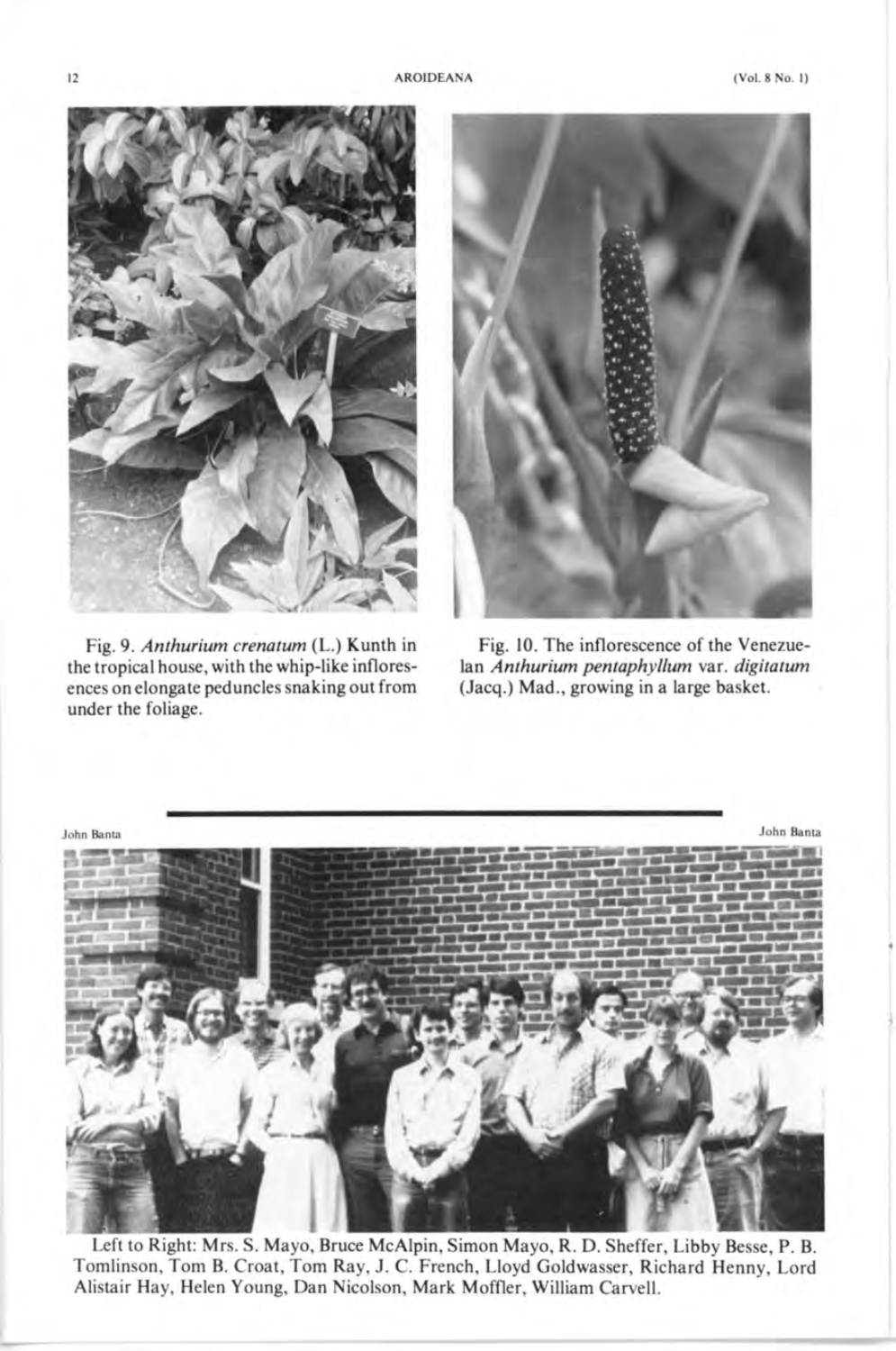

Fig. 9. *Anthurium crenatum* (L.) Kunth in the tropical house, with the whip-like infloresences on elongate peduncles snaking out from under the foliage.



Fig. 10. The inflorescence of the Venezuelan *Anthurium pentaphyllum* var. *digitatum*  (Jacq.) Mad., growing in a large basket.



Left to Right: Mrs. S. Mayo, Bruce McAlpin, Simon Mayo, R. D. Sheffer, Libby Besse, P. B. Tomlinson, Tom B. Croat, Tom Ray, J. C. French, Lloyd Goldwasser, Richard Henny, Lord Alistair Hay, Helen Young, Dan Nicolson, Mark Moffler, William Carvell.